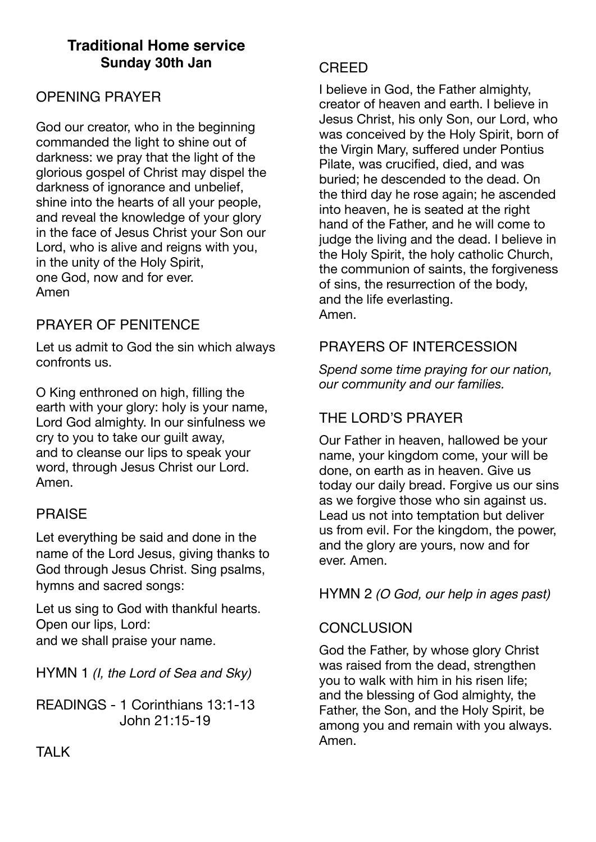# **Traditional Home service Sunday 30th Jan**

# OPENING PRAYER

God our creator, who in the beginning commanded the light to shine out of darkness: we pray that the light of the glorious gospel of Christ may dispel the darkness of ignorance and unbelief, shine into the hearts of all your people, and reveal the knowledge of your glory in the face of Jesus Christ your Son our Lord, who is alive and reigns with you, in the unity of the Holy Spirit, one God, now and for ever. Amen

# PRAYER OF PENITENCE

Let us admit to God the sin which always confronts us.

O King enthroned on high, filling the earth with your glory: holy is your name. Lord God almighty. In our sinfulness we cry to you to take our guilt away, and to cleanse our lips to speak your word, through Jesus Christ our Lord. Amen.

## PRAISE

Let everything be said and done in the name of the Lord Jesus, giving thanks to God through Jesus Christ. Sing psalms, hymns and sacred songs:

Let us sing to God with thankful hearts. Open our lips, Lord: and we shall praise your name.

HYMN 1 *(I, the Lord of Sea and Sky)*

READINGS - 1 Corinthians 13:1-13 John 21:15-19

## CREED

I believe in God, the Father almighty, creator of heaven and earth. I believe in Jesus Christ, his only Son, our Lord, who was conceived by the Holy Spirit, born of the Virgin Mary, suffered under Pontius Pilate, was crucified, died, and was buried; he descended to the dead. On the third day he rose again; he ascended into heaven, he is seated at the right hand of the Father, and he will come to judge the living and the dead. I believe in the Holy Spirit, the holy catholic Church, the communion of saints, the forgiveness of sins, the resurrection of the body, and the life everlasting. Amen.

# PRAYERS OF INTERCESSION

*Spend some time praying for our nation, our community and our families.* 

# THE LORD'S PRAYER

Our Father in heaven, hallowed be your name, your kingdom come, your will be done, on earth as in heaven. Give us today our daily bread. Forgive us our sins as we forgive those who sin against us. Lead us not into temptation but deliver us from evil. For the kingdom, the power, and the glory are yours, now and for ever. Amen.

HYMN 2 *(O God, our help in ages past)*

# **CONCLUSION**

God the Father, by whose glory Christ was raised from the dead, strengthen you to walk with him in his risen life; and the blessing of God almighty, the Father, the Son, and the Holy Spirit, be among you and remain with you always. Amen.

**TAI K**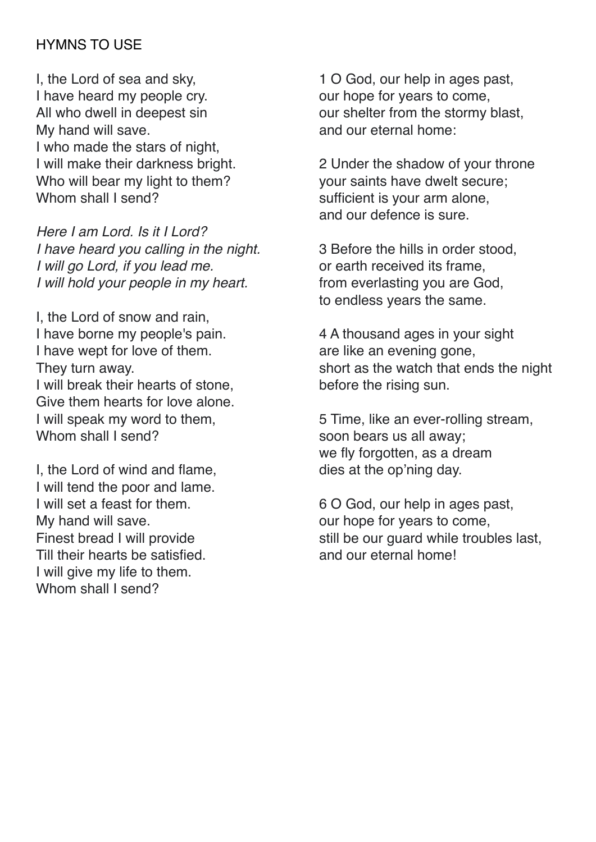# HYMNS TO USE

I, the Lord of sea and sky, I have heard my people cry. All who dwell in deepest sin My hand will save. I who made the stars of night, I will make their darkness bright. Who will bear my light to them? Whom shall I send?

*Here I am Lord. Is it I Lord? I have heard you calling in the night. I will go Lord, if you lead me. I will hold your people in my heart.*

I, the Lord of snow and rain, I have borne my people's pain. I have wept for love of them. They turn away. I will break their hearts of stone, Give them hearts for love alone. I will speak my word to them, Whom shall I send?

I, the Lord of wind and flame, I will tend the poor and lame. I will set a feast for them. My hand will save. Finest bread I will provide Till their hearts be satisfied. I will give my life to them. Whom shall I send?

1 O God, our help in ages past, our hope for years to come, our shelter from the stormy blast, and our eternal home:

2 Under the shadow of your throne your saints have dwelt secure; sufficient is your arm alone, and our defence is sure.

3 Before the hills in order stood, or earth received its frame, from everlasting you are God, to endless years the same.

4 A thousand ages in your sight are like an evening gone, short as the watch that ends the night before the rising sun.

5 Time, like an ever-rolling stream, soon bears us all away; we fly forgotten, as a dream dies at the op'ning day.

6 O God, our help in ages past, our hope for years to come, still be our guard while troubles last, and our eternal home!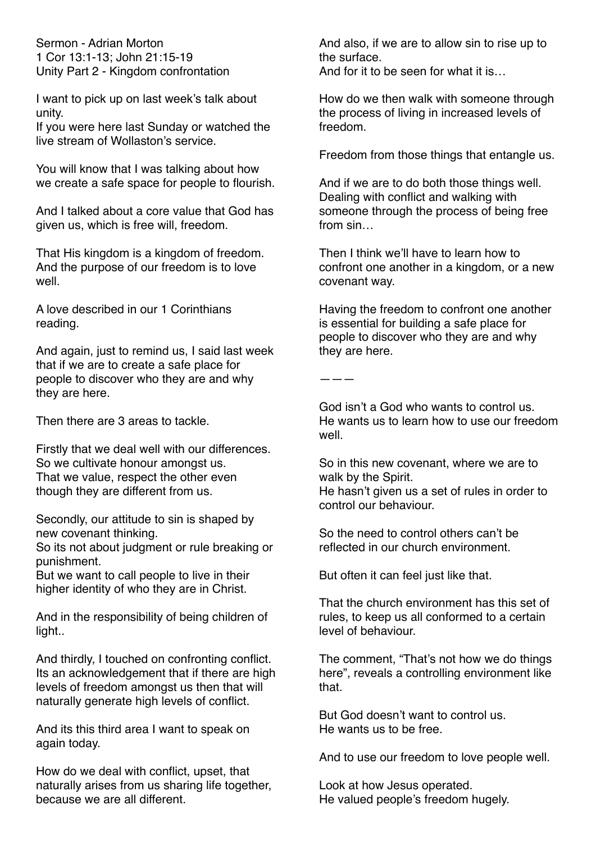Sermon - Adrian Morton 1 Cor 13:1-13; John 21:15-19 Unity Part 2 - Kingdom confrontation

I want to pick up on last week's talk about unity.

If you were here last Sunday or watched the live stream of Wollaston's service.

You will know that I was talking about how we create a safe space for people to flourish.

And I talked about a core value that God has given us, which is free will, freedom.

That His kingdom is a kingdom of freedom. And the purpose of our freedom is to love well.

A love described in our 1 Corinthians reading.

And again, just to remind us, I said last week that if we are to create a safe place for people to discover who they are and why they are here.

Then there are 3 areas to tackle.

Firstly that we deal well with our differences. So we cultivate honour amongst us. That we value, respect the other even though they are different from us.

Secondly, our attitude to sin is shaped by new covenant thinking.

So its not about judgment or rule breaking or punishment.

But we want to call people to live in their higher identity of who they are in Christ.

And in the responsibility of being children of light..

And thirdly, I touched on confronting conflict. Its an acknowledgement that if there are high levels of freedom amongst us then that will naturally generate high levels of conflict.

And its this third area I want to speak on again today.

How do we deal with conflict, upset, that naturally arises from us sharing life together, because we are all different.

And also, if we are to allow sin to rise up to the surface. And for it to be seen for what it is…

How do we then walk with someone through the process of living in increased levels of freedom.

Freedom from those things that entangle us.

And if we are to do both those things well. Dealing with conflict and walking with someone through the process of being free from sin…

Then I think we'll have to learn how to confront one another in a kingdom, or a new covenant way.

Having the freedom to confront one another is essential for building a safe place for people to discover who they are and why they are here.

———

God isn't a God who wants to control us. He wants us to learn how to use our freedom well.

So in this new covenant, where we are to walk by the Spirit.

He hasn't given us a set of rules in order to control our behaviour.

So the need to control others can't be reflected in our church environment.

But often it can feel just like that.

That the church environment has this set of rules, to keep us all conformed to a certain level of behaviour.

The comment, "That's not how we do things here", reveals a controlling environment like that.

But God doesn't want to control us. He wants us to be free.

And to use our freedom to love people well.

Look at how Jesus operated. He valued people's freedom hugely.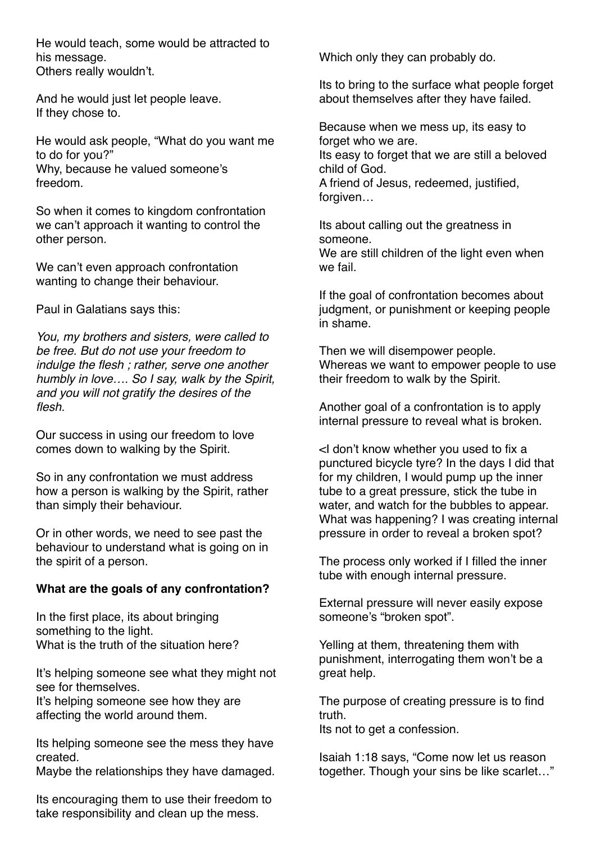He would teach, some would be attracted to his message. Others really wouldn't.

And he would just let people leave. If they chose to.

He would ask people, "What do you want me to do for you?" Why, because he valued someone's freedom.

So when it comes to kingdom confrontation we can't approach it wanting to control the other person.

We can't even approach confrontation wanting to change their behaviour.

Paul in Galatians says this:

*You, my brothers and sisters, were called to be free. But do not use your freedom to indulge the flesh ; rather, serve one another humbly in love…. So I say, walk by the Spirit, and you will not gratify the desires of the flesh.* 

Our success in using our freedom to love comes down to walking by the Spirit.

So in any confrontation we must address how a person is walking by the Spirit, rather than simply their behaviour.

Or in other words, we need to see past the behaviour to understand what is going on in the spirit of a person.

#### **What are the goals of any confrontation?**

In the first place, its about bringing something to the light. What is the truth of the situation here?

It's helping someone see what they might not see for themselves.

It's helping someone see how they are affecting the world around them.

Its helping someone see the mess they have created.

Maybe the relationships they have damaged.

Its encouraging them to use their freedom to take responsibility and clean up the mess.

Which only they can probably do.

Its to bring to the surface what people forget about themselves after they have failed.

Because when we mess up, its easy to forget who we are. Its easy to forget that we are still a beloved child of God. A friend of Jesus, redeemed, justified, forgiven...

Its about calling out the greatness in someone. We are still children of the light even when we fail.

If the goal of confrontation becomes about judgment, or punishment or keeping people in shame.

Then we will disempower people. Whereas we want to empower people to use their freedom to walk by the Spirit.

Another goal of a confrontation is to apply internal pressure to reveal what is broken.

<I don't know whether you used to fix a punctured bicycle tyre? In the days I did that for my children, I would pump up the inner tube to a great pressure, stick the tube in water, and watch for the bubbles to appear. What was happening? I was creating internal pressure in order to reveal a broken spot?

The process only worked if I filled the inner tube with enough internal pressure.

External pressure will never easily expose someone's "broken spot".

Yelling at them, threatening them with punishment, interrogating them won't be a great help.

The purpose of creating pressure is to find truth.

Its not to get a confession.

Isaiah 1:18 says, "Come now let us reason together. Though your sins be like scarlet…"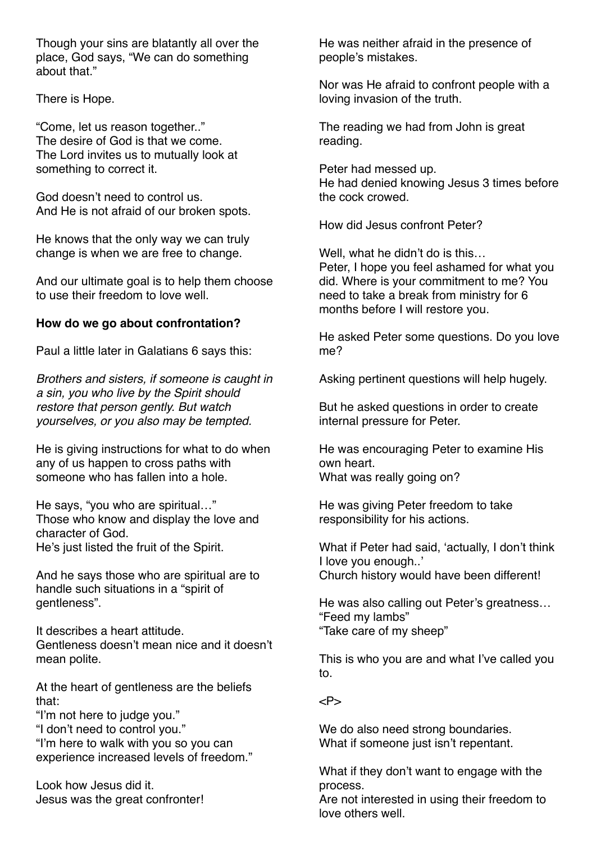Though your sins are blatantly all over the place, God says, "We can do something about that."

There is Hope.

"Come, let us reason together.." The desire of God is that we come. The Lord invites us to mutually look at something to correct it.

God doesn't need to control us. And He is not afraid of our broken spots.

He knows that the only way we can truly change is when we are free to change.

And our ultimate goal is to help them choose to use their freedom to love well.

### **How do we go about confrontation?**

Paul a little later in Galatians 6 says this:

*Brothers and sisters, if someone is caught in a sin, you who live by the Spirit should restore that person gently. But watch yourselves, or you also may be tempted.* 

He is giving instructions for what to do when any of us happen to cross paths with someone who has fallen into a hole.

He says, "you who are spiritual…" Those who know and display the love and character of God. He's just listed the fruit of the Spirit.

And he says those who are spiritual are to handle such situations in a "spirit of gentleness".

It describes a heart attitude. Gentleness doesn't mean nice and it doesn't mean polite.

At the heart of gentleness are the beliefs that:

"I'm not here to judge you."

"I don't need to control you."

"I'm here to walk with you so you can experience increased levels of freedom."

Look how Jesus did it. Jesus was the great confronter! He was neither afraid in the presence of people's mistakes.

Nor was He afraid to confront people with a loving invasion of the truth.

The reading we had from John is great reading.

Peter had messed up. He had denied knowing Jesus 3 times before the cock crowed.

How did Jesus confront Peter?

Well, what he didn't do is this… Peter, I hope you feel ashamed for what you did. Where is your commitment to me? You need to take a break from ministry for 6 months before I will restore you.

He asked Peter some questions. Do you love me?

Asking pertinent questions will help hugely.

But he asked questions in order to create internal pressure for Peter.

He was encouraging Peter to examine His own heart. What was really going on?

He was giving Peter freedom to take responsibility for his actions.

What if Peter had said, 'actually, I don't think I love you enough..' Church history would have been different!

He was also calling out Peter's greatness… "Feed my lambs" "Take care of my sheep"

This is who you are and what I've called you to.

 $P$ 

We do also need strong boundaries. What if someone just isn't repentant.

What if they don't want to engage with the process.

Are not interested in using their freedom to love others well.